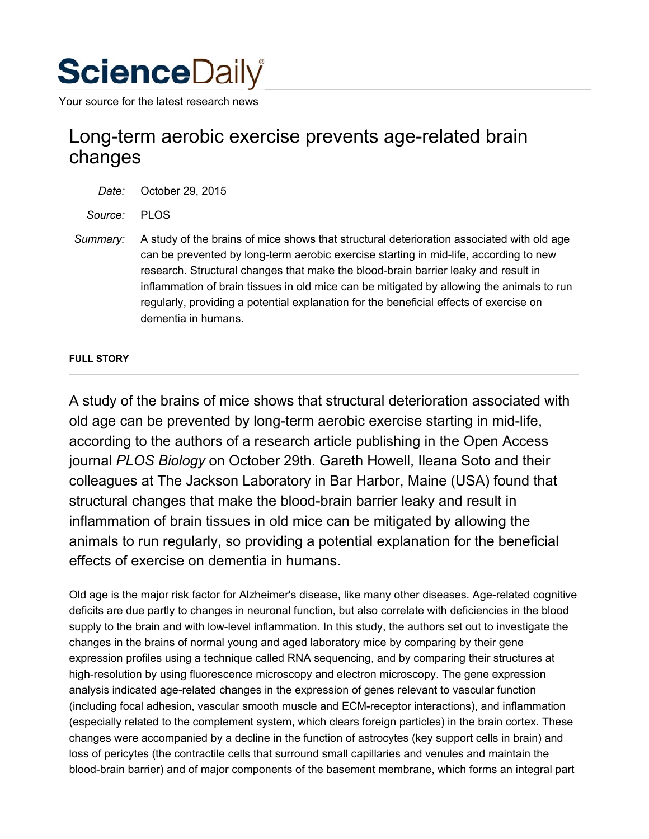# **Science**Daily

Your source for the latest research news

# Long-term aerobic exercise prevents age-related brain changes

*Date:* October 29, 2015

*Source:* PLOS

*Summary:* A study of the brains of mice shows that structural deterioration associated with old age can be prevented by long-term aerobic exercise starting in mid-life, according to new research. Structural changes that make the blood-brain barrier leaky and result in inflammation of brain tissues in old mice can be mitigated by allowing the animals to run regularly, providing a potential explanation for the beneficial effects of exercise on dementia in humans.

# **FULL STORY**

A study of the brains of mice shows that structural deterioration associated with old age can be prevented by long-term aerobic exercise starting in mid-life, according to the authors of a research article publishing in the Open Access journal *PLOS Biology* on October 29th. Gareth Howell, Ileana Soto and their colleagues at The Jackson Laboratory in Bar Harbor, Maine (USA) found that structural changes that make the blood-brain barrier leaky and result in inflammation of brain tissues in old mice can be mitigated by allowing the animals to run regularly, so providing a potential explanation for the beneficial effects of exercise on dementia in humans.

Old age is the major risk factor for Alzheimer's disease, like many other diseases. Age-related cognitive deficits are due partly to changes in neuronal function, but also correlate with deficiencies in the blood supply to the brain and with low-level inflammation. In this study, the authors set out to investigate the changes in the brains of normal young and aged laboratory mice by comparing by their gene expression profiles using a technique called RNA sequencing, and by comparing their structures at high-resolution by using fluorescence microscopy and electron microscopy. The gene expression analysis indicated age-related changes in the expression of genes relevant to vascular function (including focal adhesion, vascular smooth muscle and ECM-receptor interactions), and inflammation (especially related to the complement system, which clears foreign particles) in the brain cortex. These changes were accompanied by a decline in the function of astrocytes (key support cells in brain) and loss of pericytes (the contractile cells that surround small capillaries and venules and maintain the blood-brain barrier) and of major components of the basement membrane, which forms an integral part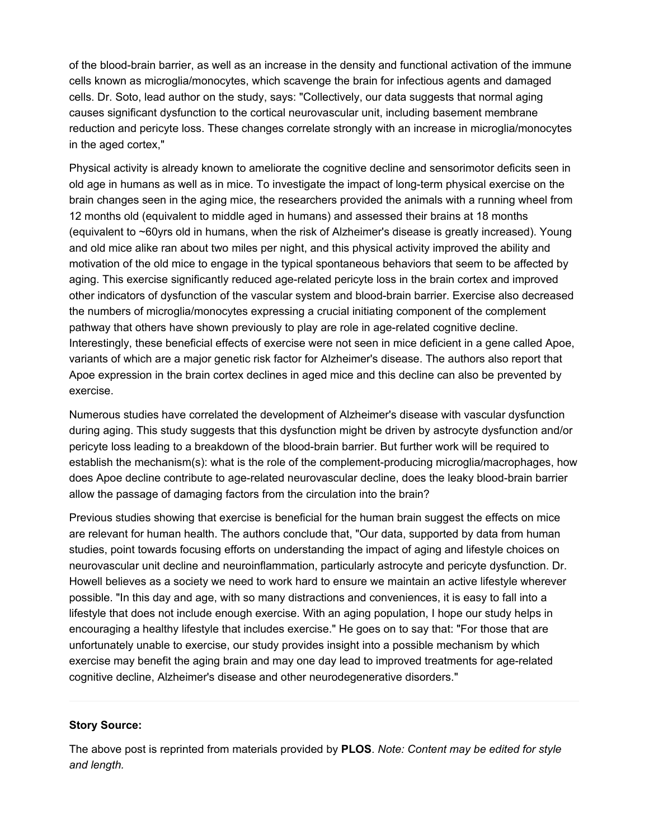of the blood-brain barrier, as well as an increase in the density and functional activation of the immune cells known as microglia/monocytes, which scavenge the brain for infectious agents and damaged cells. Dr. Soto, lead author on the study, says: "Collectively, our data suggests that normal aging causes significant dysfunction to the cortical neurovascular unit, including basement membrane reduction and pericyte loss. These changes correlate strongly with an increase in microglia/monocytes in the aged cortex,"

Physical activity is already known to ameliorate the cognitive decline and sensorimotor deficits seen in old age in humans as well as in mice. To investigate the impact of long-term physical exercise on the brain changes seen in the aging mice, the researchers provided the animals with a running wheel from 12 months old (equivalent to middle aged in humans) and assessed their brains at 18 months (equivalent to ~60yrs old in humans, when the risk of Alzheimer's disease is greatly increased). Young and old mice alike ran about two miles per night, and this physical activity improved the ability and motivation of the old mice to engage in the typical spontaneous behaviors that seem to be affected by aging. This exercise significantly reduced age-related pericyte loss in the brain cortex and improved other indicators of dysfunction of the vascular system and blood-brain barrier. Exercise also decreased the numbers of microglia/monocytes expressing a crucial initiating component of the complement pathway that others have shown previously to play are role in age-related cognitive decline. Interestingly, these beneficial effects of exercise were not seen in mice deficient in a gene called Apoe, variants of which are a major genetic risk factor for Alzheimer's disease. The authors also report that Apoe expression in the brain cortex declines in aged mice and this decline can also be prevented by exercise.

Numerous studies have correlated the development of Alzheimer's disease with vascular dysfunction during aging. This study suggests that this dysfunction might be driven by astrocyte dysfunction and/or pericyte loss leading to a breakdown of the blood-brain barrier. But further work will be required to establish the mechanism(s): what is the role of the complement-producing microglia/macrophages, how does Apoe decline contribute to age-related neurovascular decline, does the leaky blood-brain barrier allow the passage of damaging factors from the circulation into the brain?

Previous studies showing that exercise is beneficial for the human brain suggest the effects on mice are relevant for human health. The authors conclude that, "Our data, supported by data from human studies, point towards focusing efforts on understanding the impact of aging and lifestyle choices on neurovascular unit decline and neuroinflammation, particularly astrocyte and pericyte dysfunction. Dr. Howell believes as a society we need to work hard to ensure we maintain an active lifestyle wherever possible. "In this day and age, with so many distractions and conveniences, it is easy to fall into a lifestyle that does not include enough exercise. With an aging population, I hope our study helps in encouraging a healthy lifestyle that includes exercise." He goes on to say that: "For those that are unfortunately unable to exercise, our study provides insight into a possible mechanism by which exercise may benefit the aging brain and may one day lead to improved treatments for age-related cognitive decline, Alzheimer's disease and other neurodegenerative disorders."

#### **Story Source:**

The above post is reprinted from materials provided by **PLOS**. *Note: Content may be edited for style and length.*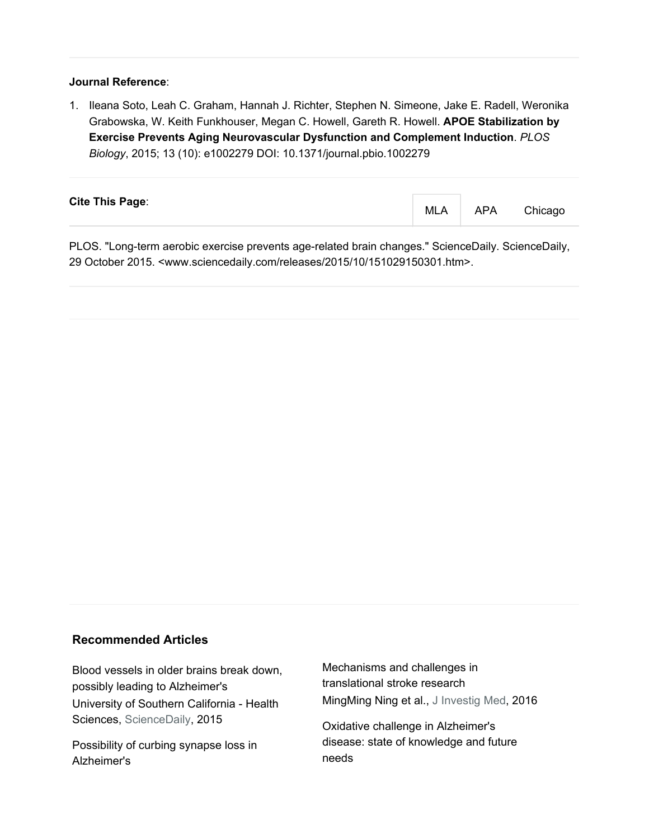### **Journal Reference**:

1. Ileana Soto, Leah C. Graham, Hannah J. Richter, Stephen N. Simeone, Jake E. Radell, Weronika Grabowska, W. Keith Funkhouser, Megan C. Howell, Gareth R. Howell. **APOE Stabilization by Exercise Prevents Aging Neurovascular Dysfunction and Complement Induction**. *PLOS Biology*, 2015; 13 (10): e1002279 DOI: 10.1371/journal.pbio.1002279

| <b>Cite This Page:</b> | MLA | APA | Chicago |
|------------------------|-----|-----|---------|
|                        |     |     |         |

PLOS. "Long-term aerobic exercise prevents age-related brain changes." ScienceDaily. ScienceDaily, 29 October 2015. <www.sciencedaily.com/releases/2015/10/151029150301.htm>.

# **Recommended Articles**

Blood vessels in older brains break down, possibly leading to Alzheimer's University of Southern California - Health Sciences, ScienceDaily, 2015

Possibility of curbing synapse loss in Alzheimer's

Mechanisms and challenges in translational stroke research MingMing Ning et al., J Investig Med, 2016

Oxidative challenge in Alzheimer's disease: state of knowledge and future needs